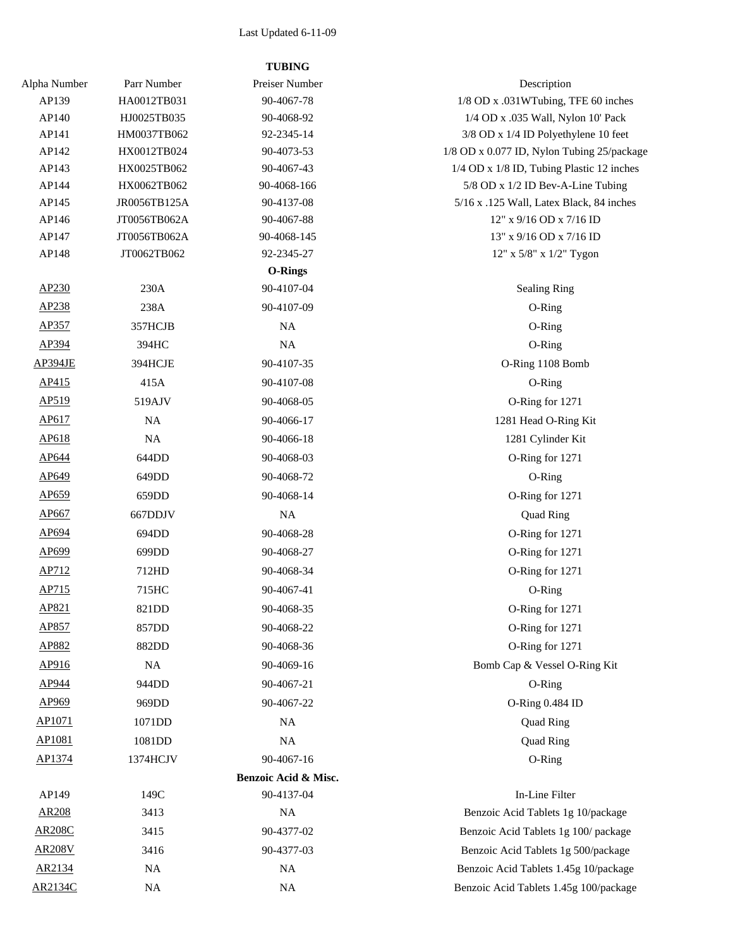## Last Updated 6-11-09

## **TUBING**

| Alpha Number   | Parr Number  | Preiser Number       | Description                                |
|----------------|--------------|----------------------|--------------------------------------------|
| AP139          | HA0012TB031  | 90-4067-78           | 1/8 OD x .031WTubing, TFE 60 inches        |
| AP140          | HJ0025TB035  | 90-4068-92           | 1/4 OD x .035 Wall, Nylon 10' Pack         |
| AP141          | HM0037TB062  | 92-2345-14           | 3/8 OD x 1/4 ID Polyethylene 10 feet       |
| AP142          | HX0012TB024  | 90-4073-53           | 1/8 OD x 0.077 ID, Nylon Tubing 25/package |
| AP143          | HX0025TB062  | 90-4067-43           | 1/4 OD x 1/8 ID, Tubing Plastic 12 inches  |
| AP144          | HX0062TB062  | 90-4068-166          | 5/8 OD x 1/2 ID Bev-A-Line Tubing          |
| AP145          | JR0056TB125A | 90-4137-08           | 5/16 x .125 Wall, Latex Black, 84 inches   |
| AP146          | JT0056TB062A | 90-4067-88           | 12" x 9/16 OD x 7/16 ID                    |
| AP147          | JT0056TB062A | 90-4068-145          | 13" x 9/16 OD x 7/16 ID                    |
| AP148          | JT0062TB062  | 92-2345-27           | 12" x 5/8" x 1/2" Tygon                    |
|                |              | <b>O-Rings</b>       |                                            |
| AP230          | 230A         | 90-4107-04           | <b>Sealing Ring</b>                        |
| AP238          | 238A         | 90-4107-09           | O-Ring                                     |
| AP357          | 357HCJB      | <b>NA</b>            | O-Ring                                     |
| AP394          | 394HC        | NA                   | O-Ring                                     |
| AP394JE        | 394HCJE      | 90-4107-35           | O-Ring 1108 Bomb                           |
| AP415          | 415A         | 90-4107-08           | O-Ring                                     |
| AP519          | 519AJV       | 90-4068-05           | O-Ring for 1271                            |
| AP617          | NA           | 90-4066-17           | 1281 Head O-Ring Kit                       |
| AP618          | $_{\rm NA}$  | 90-4066-18           | 1281 Cylinder Kit                          |
| AP644          | 644DD        | 90-4068-03           | O-Ring for 1271                            |
| AP649          | 649DD        | 90-4068-72           | O-Ring                                     |
| AP659          | 659DD        | 90-4068-14           | O-Ring for 1271                            |
| AP667          | 667DDJV      | <b>NA</b>            | Quad Ring                                  |
| AP694          | 694DD        | 90-4068-28           | O-Ring for 1271                            |
| AP699          | 699DD        | 90-4068-27           | O-Ring for 1271                            |
| AP712          | 712HD        | 90-4068-34           | O-Ring for 1271                            |
| AP715          | 715HC        | 90-4067-41           | O-Ring                                     |
| AP821          | 821DD        | 90-4068-35           | O-Ring for 1271                            |
| AP857          | 857DD        | 90-4068-22           | O-Ring for 1271                            |
| AP882          | 882DD        | 90-4068-36           | O-Ring for 1271                            |
| AP916          | NA           |                      | Bomb Cap & Vessel O-Ring Kit               |
| AP944          |              | 90-4069-16           |                                            |
| AP969          | 944DD        | 90-4067-21           | O-Ring                                     |
|                | 969DD        | 90-4067-22           | O-Ring 0.484 ID                            |
| AP1071         | 1071DD       | NA                   | Quad Ring                                  |
| AP1081         | 1081DD       | $_{\rm NA}$          | Quad Ring                                  |
| AP1374         | 1374HCJV     | 90-4067-16           | O-Ring                                     |
|                |              | Benzoic Acid & Misc. |                                            |
| AP149          | 149C         | 90-4137-04           | In-Line Filter                             |
| <b>AR208</b>   | 3413         | <b>NA</b>            | Benzoic Acid Tablets 1g 10/package         |
| <b>AR208C</b>  | 3415         | 90-4377-02           | Benzoic Acid Tablets 1g 100/package        |
| <b>AR208V</b>  | 3416         | 90-4377-03           | Benzoic Acid Tablets 1g 500/package        |
| AR2134         | NA           | <b>NA</b>            | Benzoic Acid Tablets 1.45g 10/package      |
| <b>AR2134C</b> | $_{\rm NA}$  | NA                   | Benzoic Acid Tablets 1.45g 100/package     |